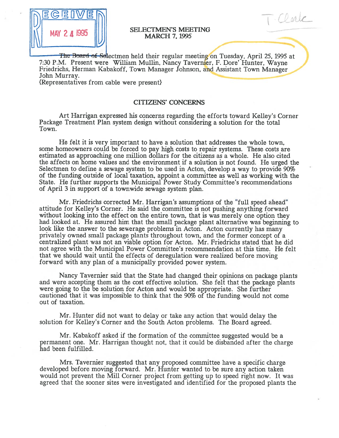

# SELECTMEN'S MEETING MAY <sup>C</sup> <sup>4</sup> MARCH 7, <sup>1995</sup>

Carle

The Board of Selectmen held their regular meeting on Tuesday, April 25, 1995 at 7:30 P.M. Present were William Mullin, Nancy Tavernier, F. Dore' Hunter, Wayne Friedrichs, Herman Kabakoff, Town Manager Johnson, and Assistant Town Manager John Murray.

{Representatives from cable were present}

#### CITIZENS' CONCERNS

Art Harrigan expressed his concerns regarding the efforts toward Kelley's Corner Package Treatment Plan system design without considering <sup>a</sup> solution for the total Town.

He felt it is very important to have <sup>a</sup> solution that addresses the whole town, some homeowners could be forced to pay high costs to repair systems. These costs are estimated as approaching one million dollars for the citizens as <sup>a</sup> whole. He also cited the affects on home values and the environment if <sup>a</sup> solution is not found. He urged the Selectmen to define <sup>a</sup> sewage system to be used in Acton, develop <sup>a</sup> way to provide 90% of the funding outside of local taxation, appoint <sup>a</sup> committee as well as working with the State. He further supports the Municipal Power Study Committee's recommendations of April 3 in suppor<sup>t</sup> of <sup>a</sup> townwide sewage system plan.

Mr. Friedrichs corrected Mr. Harrigan's assumptions of the "full speed ahead" attitude for Kelley's Corner. He said the committee is not pushing anything forward without looking into the effect on the entire town, that is was merely one option they had looked at. He assured him that the small package <sup>p</sup>lant alternative was beginning to look like the answer to the sewerage problems in Acton. Acton currently has many privately owned small package plants throughout town, and the former concep<sup>t</sup> of <sup>a</sup> centralized plant was not an viable option for Acton. Mr. Friedrichs stated that he did not agree with the Municipal Power Committee's recommendation at this time. He felt that we should wait until the effects of deregulation were realized before moving forward with any plan of <sup>a</sup> municipally provided power system.

Nancy Tavernier said that the State had changed their opinions on package plants and were accepting them as the cost effective solution. She felt that the package plants were going to the be solution for Acton and would be appropriate. She further cautioned that it was impossible to think that the 90% of the funding would not come out of taxation.

Mr. Hunter did not want to delay or take any action that would delay the solution for Kelley's Corner and the South Acton problems. The Board agreed.

Mr. Kabakoff asked if the formation of the committee suggested would be <sup>a</sup> permanen<sup>t</sup> one. Mr. Harrigan thought not, that it could be disbanded after the charge had been fulfilled.

Mrs. Tavernier suggested that any proposed committee have <sup>a</sup> specific charge developed before moving forward. Mr. Hunter wanted to be sure any action taken would not preven<sup>t</sup> the Mill Corner project from getting up to speed right now. It was agreed that the sooner sites were investigated and identified for the proposed plants the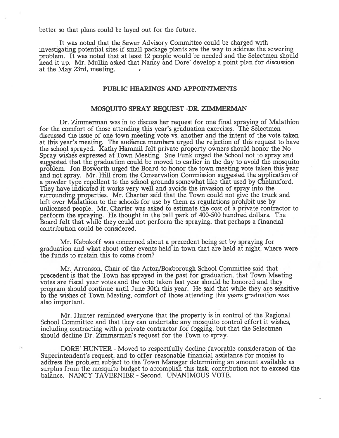better so that plans could be layed out for the future.

It was noted that the Sewer Advisory Committee could be charged with investigating potential sites if small package <sup>p</sup>lants are the way to address the sewering problem. It was noted that at least 12 people would be needed and the Selectmen should head it up. Mr. Mullin asked that Nancy and Dore' develop <sup>a</sup> point <sup>p</sup>lan for discussion at the May 23rd, meeting.

#### PUBLIC HEARINGS AND APPOINTMENTS

#### MOSQUITO SPRAY REQUEST -DR ZIMMERMAN

Dr. Zimmerman was in to discuss her reques<sup>t</sup> for one final spraying of Malathion for the comfort of those attending this year's graduation exercises. The Selectmen discussed the issue of one town meeting vote vs. another and the intent of the vote taken at this year's meeting. The audience members urged the rejection of this reques<sup>t</sup> to have the school sprayed. Kathy Hammil felt private property owners should honor the No Spray wishes expressed at Town Meeting. Sue Funk urged the School not to spray and suggested that the graduation could be moved to earlier in the day to avoid the mosquito problem. Jon Bosworth urged the Board to honor the town meeting vote taken this year and not spray. Mr. Hill from the Conservation Commission suggested the application of <sup>a</sup> powder type repellent to the school grounds somewhat like that used by Chelmsford. They have indicated it works very well and avoids the invasion of spray into the surrounding properties. Mr. Charter said that the Town could not give the truck and left over Malathion to the schools for use by them as regulations prohibit use by unlicensed people. Mr. Charter was asked to estimate the cost of <sup>a</sup> private contractor to perform the spraying. He thought in the ball park of 400-500 hundred dollars. The Board felt that while they could not perform the spraying, that perhaps <sup>a</sup> financial contribution could be considered.

Mr. Kabokoff was concerned about <sup>a</sup> precedent being set by spraying for graduation and what about other events held in town that are held at night, where were the funds to sustain this to come from?

Mr. Arronson, Chair of the Acton/Boxborough School Committee said that precedent is that the Town has sprayed in the pas<sup>t</sup> for graduation, that Town Meeting votes are fiscal year votes and the vote taken last year should be honored and they program should continue until June 30th this year. He said that while they are sensitive to the wishes of Town Meeting, comfort of those attending this years graduation was also important.

Mr. Hunter reminded everyone that the property is in control of the Regional School Committee and that they can undertake any mosquito control effort it wishes, including contracting with <sup>a</sup> private contractor for fogging, but that the Selectmen should decline Dr. Zimmerman's reques<sup>t</sup> for the Town to spray.

DORE' HUNTER - Moved to respectfully decline favorable consideration of the Superintendent's request, and to offer reasonable financial assistance for monies to address the problem subject to the Town Manager determining an amount available as surplus from the mosquito budget to accomplish this task, contribution not to exceed the balance. NANCY TAVERNIER -Second. UNANIMOUS VOTE.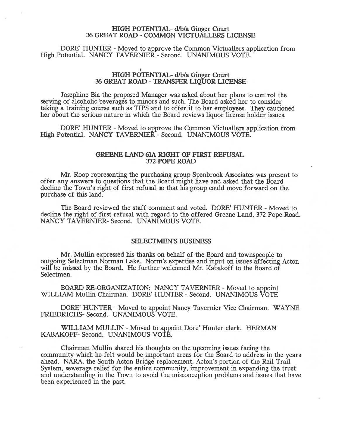#### HIGH POTENTIAL- d/b/a Ginger Court 36 GREAT ROAD -COMMON VICTUALLERS LICENSE

DORE' HUNTER - Moved to approve the Common Victuallers application from High Potential. NANCY TAVERNIER - Second. UNANIMOUS VOTE.

## HIGH POTENTIAL- d/b/a Ginger Court 36 GREAT ROAD -TRANSFER LIQUOR LICENSE

Josephine Bia the proposed Manager was asked about her plans to control the serving of alcoholic beverages to minors and such. The Board asked her to consider taking <sup>a</sup> training course such as TIPS and to offer it to her employees. They cautioned her about the serious nature in which the Board reviews liquor license holder issues.

DORE' HUNTER - Moved to approve the Common Victuallers application from High Potential. NANCY TAVERNIER - Second. UNANIMOUS VOTE.

#### GREENE LAND 61A RIGHT OF FIRST REFUSAL 372 POPE ROAD

Mr. Roop representing the purchasing group Spenbrook Associates was presen<sup>t</sup> to offer any answers to questions that the Board might have and asked that the Board decline the Town's right of first refusal so that his group could move forward on the purchase of this land.

The Board reviewed the staff comment and voted. DORE' HUNTER - Moved to decline the right of first refusal with regard to the offered Greene Land, 372 Pope Road. NANCY TAVERNIER- Second. UNANIMOUS VOTE.

#### SELECTMEN'S BUSINESS

Mr. Mullin expressed his thanks on behalf of the Board and townspeople to outgoing Selectman Norman Lake. Norm's expertise and input on issues affecting Acton will be missed by the Board. He further welcomed Mr. Kabakoff to the Board of Selectmen.

BOARD RE-ORGANIZATION: NANCY TAVERNIER - Moved to appoint WILLIAM Mullin Chairman. DORE' HUNTER - Second. UNANIMOUS VOTE

DORE' HUNTER - Moved to appoint Nancy Tavernier Vice-Chairman. WAYNE FRIEDRICHS- Second. UNANIMOUS VOTE.

WILLIAM MULLIN - Moved to appoint Dore' Hunter clerk. HERMAN KABAKOFF- Second. UNANIMOUS VOTE.

Chairman Mullin shared his thoughts on the upcoming issues facing the community which he felt would be important areas for the Board to address in the years ahead. NARA, the South Acton Bridge replacement, Acton's portion of the Rail Trail System, sewerage relief for the entire community, improvement in expanding the trust and understanding in the Town to avoid the misconception problems and issues that have been experienced in the past.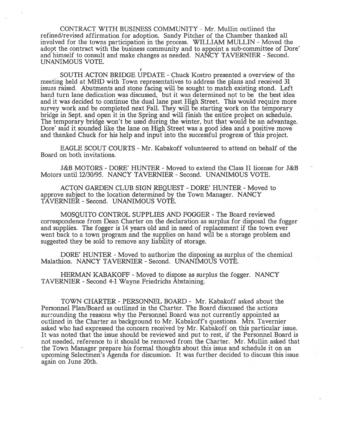CONTRACT WITH BUSINESS COMMUNITY -Mr. Mullin outlined the refined/revised affirmation for adoption. Sandy Pitcher of the Chamber thanked all involved for the towns participation in the process. WILLIAM MULLIN - Moved the adopt the contract with the business community and to appoint <sup>a</sup> sub-committee of Dore' and himself to consult and make changes as needed. NANCY TAVERNIER - Second. UNANIMOUS VOTE.

SOUTH ACTON BRIDGE UPDATE -Chuck Kostro presented <sup>a</sup> overview of the meeting held at MHD with Town representatives to address the plans and received 31 issues raised. Abutments and stone facing will be sought to match existing stond. Left hand turn lane dedication was discussed, but it was determined not to be the best idea and it was decided to continue the dual lane pas<sup>t</sup> High Street. This would require more survey work and be completed next Fall. They will be starting work on the temporary bridge in Sept. and open it in the Spring and will finish the entire project on schedule. The temporary bridge won't be used during the winter, but that would be an advantage. Dore' said it sounded like the lane on High Street was <sup>a</sup> good idea and <sup>a</sup> positive move and thanked Chuck for his help and input into the successful progress of this project.

EAGLE SCOUT COURTS -Mr. Kabakoff volunteered to attend on behalf of the Board on both invitations.

J&B MOTORS -DORE' HUNTER -Moved to extend the Class II license for J&B Motors until 12/30/95. NANCY TAVERNIER -Second. UNANIMOUS VOTE.

ACTON GARDEN CLUB SIGN REQUEST - DORE' HUNTER - Moved to approve subject to the location determined by the Town Manager. NANCY TAVERNIER -Second. UNANIMOUS VOTE.

MOSQUITO CONTROL SUPPLIES AND FOGGER -The Board reviewed correspondence from Dean Charter on the declaration as surplus for disposal the fogger and supplies. The fogger is 14 years old and in need of replacement if the town ever went back to <sup>a</sup> town program and the supplies on hand will be <sup>a</sup> storage problem and suggested they be sold to remove any liability of storage.

DORE' HUNTER - Moved to authorize the disposing as surplus of the chemical Malathion. NANCY TAVERNIER - Second. UNANIMOUS VOTE.

HERMAN KABAKOFF -Moved to dispose as surplus the fogger. NANCY TAVERNIER -Second 4-1 Wayne Friedrichs Abstaining.

TOWN CHARTER -PERSONNEL BOARD - Mr. Kabakoff asked about the Personnel Plan/Board as outlined in the Charter. The Board discussed the actions surrounding the reasons why the Personnel Board was not currently appointed as outlined in the Charter as background to Mr. Kabakoff's questions. Mrs. Tavernier asked who had expressed the concern received by Mr. Kabakoff on this particular issue. It was noted that the issue should be reviewed and pu<sup>t</sup> to rest, if the Personnel Board is not needed, reference to it should be removed from the Charter. Mr. Mullin asked that the Town Manager prepare his formal thoughts about this issue and schedule it on an upcoming Selectmen's Agenda for discussion. It was further decided to discuss this issue again on June 20th.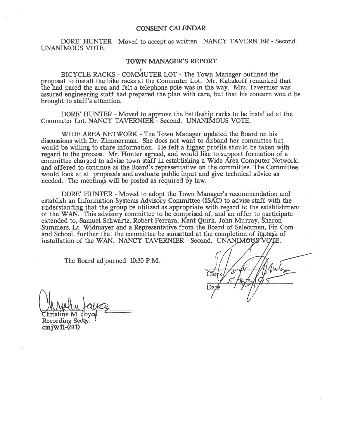#### CONSENT CALENDAR

DORE' HUNTER - Moved to accept as written. NANCY TAVERNIER - Second. UNANIMOUS VOTE.

#### TOWN MANAGER'S REPORT

BICYCLE RACKS -COMMUTER LOT -The Town Manager outlined the proposal to install the bike racks at the Commuter Lot. Mr. Kabakoff remarked that the had paced the area and felt <sup>a</sup> telephone pole was in the way. Mrs. Tavernier was assured engineering staff had prepared the plan with care, but that his concern would be brought to staff's attention.

DORE' HUNTER - Moved to approve the battleship racks to be installed at the Commuter Lot. NANCY TAVERNIER - Second. UNANIMOUS VOTE.

WIDE AREA NETWORK - The Town Manager updated the Board on his discussions with Dr. Zimmerman. She does not want to disband her committee but would be willing to share information. He felt <sup>a</sup> higher profile should be taken with regard to the process. Mr. Hunter agreed, and would like to suppor<sup>t</sup> formation of <sup>a</sup> committee charged to advise town staff in establishing <sup>a</sup> Wide Area Computer Network, and offered to continue as the Board's representative on the committee. The Committee would look at all proposals and evaluate public input and give technical advice as needed. The meetings will be posted as required by law.

DORE' HUNTER - Moved to adopt the Town Manager's recommendation and establish an Information Systems Advisory Committee (ISAC) to advise staff with the understanding that the group be utilized as appropriate with regard to the establishment of the WAN. This advisory committee to be comprised of, and an offer to participate extended to, Samuel Schwartz, Robert Ferrara, Kent Quirk, John Murray, Sharon Summers, Lt. Widmayer and a Representative from the Board of Selectmen, Fin Com and School, further that the committee be sunsetted at the completion of its task of installation of the WAN. NANCY TAVERNIER - Second. UNANIMOUS VOIE.

The Board adjourned 10:30 P.M.

I

hristine M.

Recording Secty.  $cm$  $W11-(611)$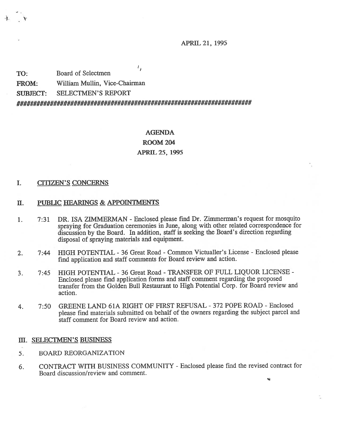APRIL 21, 1995

ι, TO: Board of Selectmen FROM: William Mullin, Vice-Chairman SUBJECT: SELECTMEN'S REPORT 

# AGENDA ROOM 204 APRIL25, 1995

#### I. CITIZEN'S CONCERNS

- II. PUBLIC HEARINGS & APPOINTMENTS
- 1. 7:31 DR. ISA ZIMMERMAN -Enclosed please find Dr. Zimmerman's reques<sup>t</sup> for mosquito spraying for Graduation ceremonies in June, along with other related correspondence for discussion by the Board. In addition, staff is seeking the Board's direction regarding disposal of spraying materials and equipment.
- 2. 7:44 HIGH POTENTIAL -36 Great Road -Common Victualler's License -Enclosed please find application and staff comments for Board review and action.
- 3. 7:45 HIGH POTENTIAL -36 Great Road -TRANSFER OF FULL LIQUOR LICENSE Enclosed <sup>p</sup>lease find application forms and staff comment regarding the propose<sup>d</sup> transfer from the Golden Bull Restaurant to High Potential Corp. for Board review and action.
- 4. 7:50 GREENE LAND 61A RIGHT OF FIRST REFUSAL 372 POPE ROAD -Enclosed <sup>p</sup>lease find materials submitted on behalf of the owners regarding the subject parce<sup>l</sup> and staff comment for Board review and action.

#### III. SELECTMEN'S BUSINESS

- 5. BOARD REORGANIZATION
- 6. CONTRACT WITH BUSINESS COMMUNITY -Enclosed please find the revised contract for Board discussion/review and comment.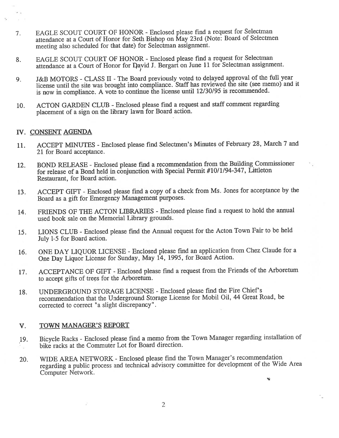- 7. EAGLE SCOUT COURT OF HONOR -Enclosed <sup>p</sup>lease find <sup>a</sup> reques<sup>t</sup> for Selectman attendance at <sup>a</sup> Court of Honor for Seth Bishop on May 23rd (Note: Board of Selectmen meeting also scheduled for that date) for Selectman assignment.
- 8. EAGLE SCOUT COURT OF HONOR -Enclosed <sup>p</sup>lease find <sup>a</sup> reques<sup>t</sup> for Selectman attendance at a Court of Honor for David J. Bergart on June 11 for Selectman assignment.
- 9. J&B MOTORS -CLASS II -The Board previously voted to delayed approva<sup>l</sup> of the fill year license until the site was brought into compliance. Staff has reviewed the site (see memo) and it is now in compliance. <sup>A</sup> vote to continue the license until 12/30/95 is recommended.
- 10. ACTON GARDEN CLUB Enclosed please find a request and staff comment regarding <sup>p</sup>lacement of <sup>a</sup> sign on the library lawn for Board action.

### IV. CONSENT AGENDA

 $\mathcal{L}$ 

- 11. ACCEPT MINUTES -Enclosed <sup>p</sup>lease find Selectmen's Minutes of February 28, March <sup>7</sup> and 21 for Board acceptance.
- 12. BOND RELEASE Enclosed please find a recommendation from the Building Commissioner for release of <sup>a</sup> Bond held in conjunction with Special Permit #10/1/94-347, Littleton Restaurant, for Board action.
- 13. ACCEPT GIFT -Enclosed <sup>p</sup>lease find <sup>a</sup> copy of <sup>a</sup> check from Ms. Jones for acceptance by the Board as <sup>a</sup> gift for Emergency Management purposes.
- 14. FRIENDS OF THE ACTON LIBRARIES Enclosed <sup>p</sup>lease find <sup>a</sup> reques<sup>t</sup> to hold the annual used book sale on the Memorial Library grounds.
- 15. LIONS CLUB -Enclosed <sup>p</sup>lease fmd the Annual reques<sup>t</sup> for the Acton Town Fair to be held July 1-5 for Board action.
- 16. ONE DAY LIQUOR LICENSE -Enclosed <sup>p</sup>lease find an application from Chez Claude for <sup>a</sup> One Day Liquor License for Sunday, May 14, 1995, for Board Action.
- 17. ACCEPTANCE OF GIFT -Enclosed <sup>p</sup>lease find <sup>a</sup> reques<sup>t</sup> from the Friends of the Arboretum to accep<sup>t</sup> <sup>g</sup>ifts of treçs for the Arboretum.
- 18. UNDERGROUND STORAGE LICENSE -Enclosed <sup>p</sup>lease find the Fire Chief's recommendation that the Underground Storage License for Mobil Oil, <sup>44</sup> Great Road, be corrected to correct "a slight discrepancy".

## V. TOWN MANAGER'S REPORT

- 19. Bicycle Racks -Enclosed <sup>p</sup>lease find <sup>a</sup> memo from the Town Manager regarding installation of bike racks at the Commuter Lot for Board direction.
- 20. WIDE AREA NETWORK -Enclosed <sup>p</sup>lease find the Town Manager's recommendation regarding <sup>a</sup> public process and technical advisory committee for development of the Wide Area Computer Network.

Ñ.

2